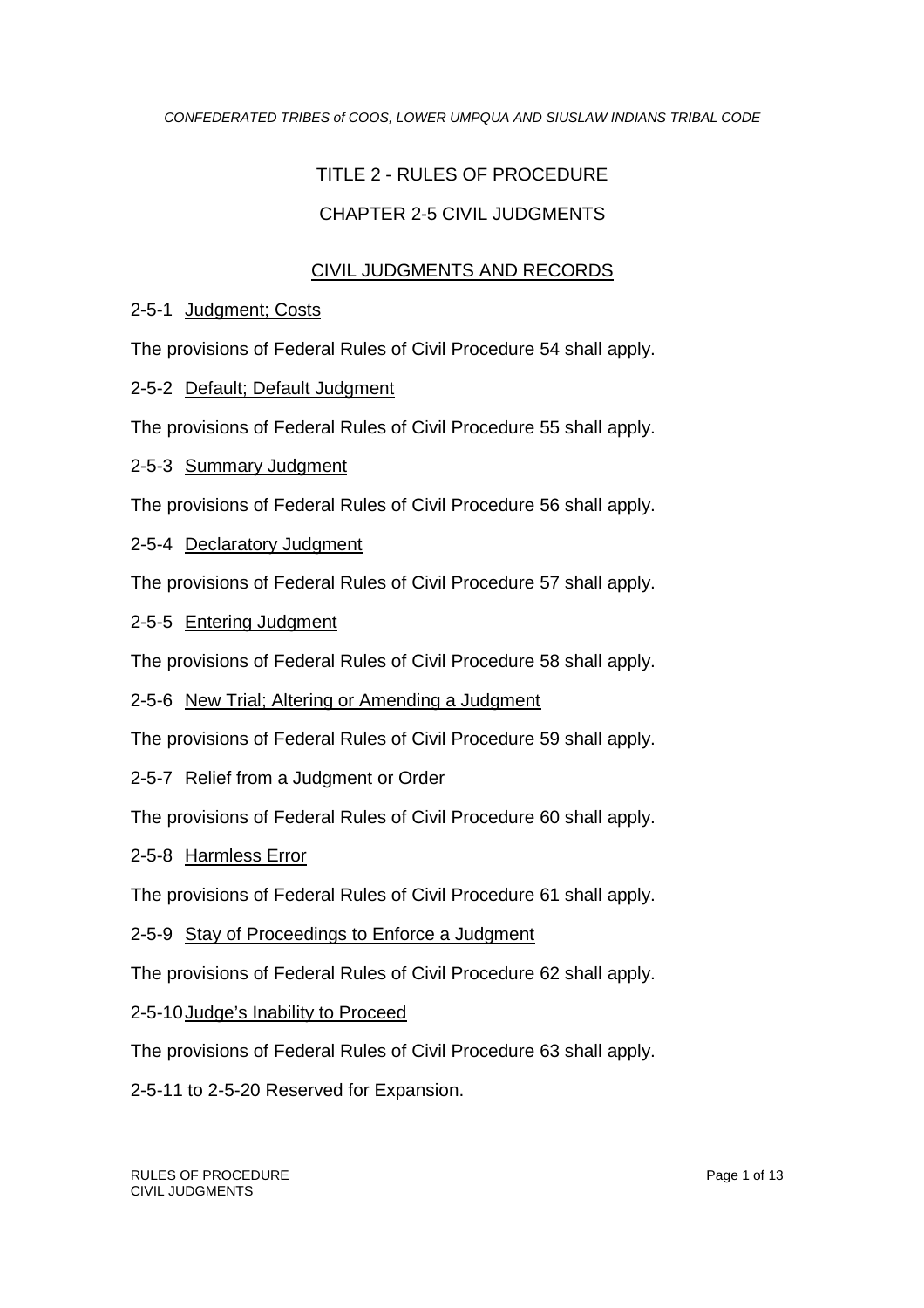# TITLE 2 - RULES OF PROCEDURE

## CHAPTER 2-5 CIVIL JUDGMENTS

## CIVIL JUDGMENTS AND RECORDS

#### 2-5-1 Judgment; Costs

The provisions of Federal Rules of Civil Procedure 54 shall apply.

2-5-2 Default; Default Judgment

The provisions of Federal Rules of Civil Procedure 55 shall apply.

2-5-3 Summary Judgment

The provisions of Federal Rules of Civil Procedure 56 shall apply.

2-5-4 Declaratory Judgment

The provisions of Federal Rules of Civil Procedure 57 shall apply.

2-5-5 Entering Judgment

The provisions of Federal Rules of Civil Procedure 58 shall apply.

2-5-6 New Trial; Altering or Amending a Judgment

The provisions of Federal Rules of Civil Procedure 59 shall apply.

2-5-7 Relief from a Judgment or Order

The provisions of Federal Rules of Civil Procedure 60 shall apply.

2-5-8 Harmless Error

The provisions of Federal Rules of Civil Procedure 61 shall apply.

2-5-9 Stay of Proceedings to Enforce a Judgment

The provisions of Federal Rules of Civil Procedure 62 shall apply.

2-5-10Judge's Inability to Proceed

The provisions of Federal Rules of Civil Procedure 63 shall apply.

2-5-11 to 2-5-20 Reserved for Expansion.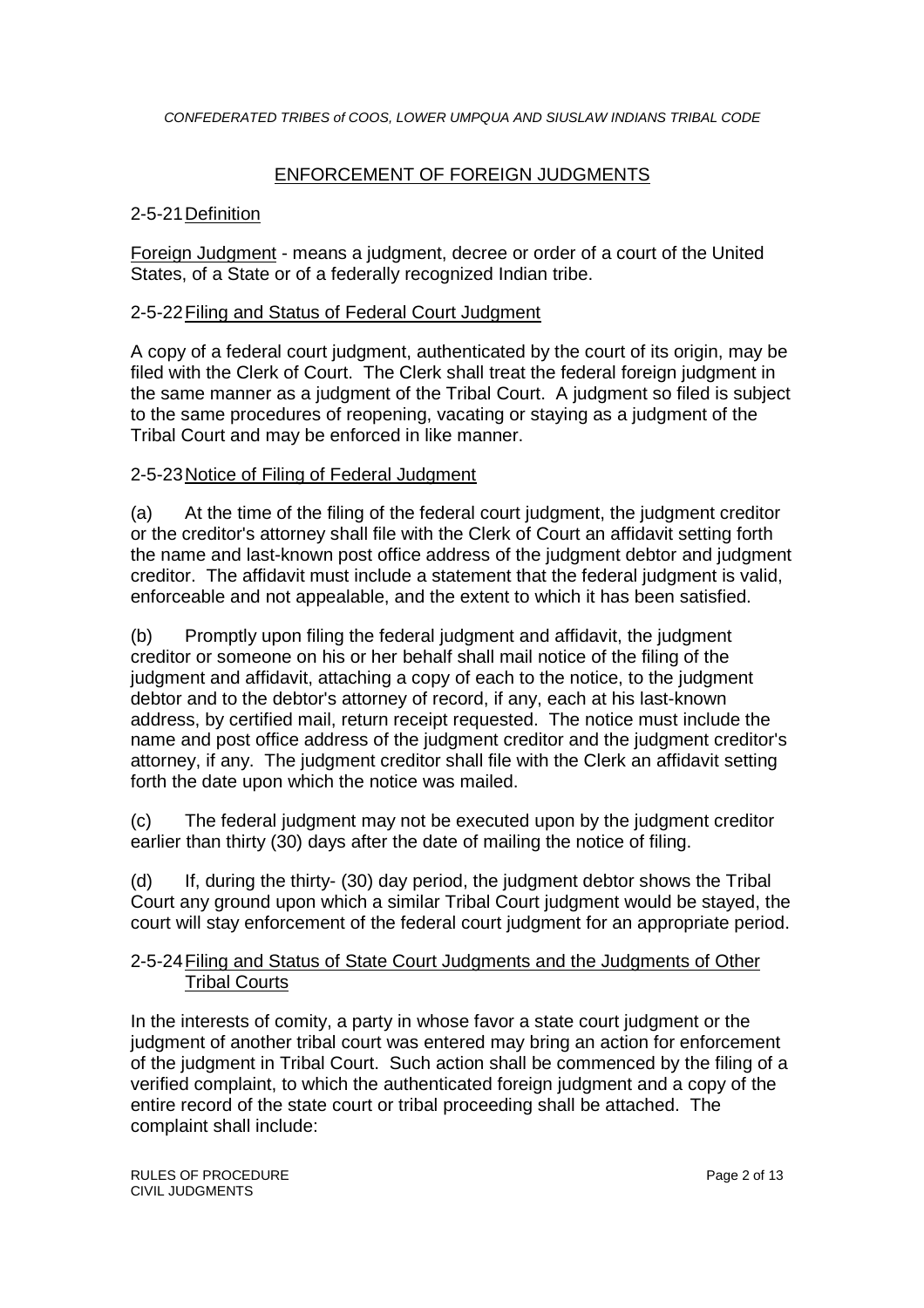## ENFORCEMENT OF FOREIGN JUDGMENTS

#### 2-5-21Definition

Foreign Judgment - means a judgment, decree or order of a court of the United States, of a State or of a federally recognized Indian tribe.

#### 2-5-22Filing and Status of Federal Court Judgment

A copy of a federal court judgment, authenticated by the court of its origin, may be filed with the Clerk of Court. The Clerk shall treat the federal foreign judgment in the same manner as a judgment of the Tribal Court. A judgment so filed is subject to the same procedures of reopening, vacating or staying as a judgment of the Tribal Court and may be enforced in like manner.

#### 2-5-23Notice of Filing of Federal Judgment

(a) At the time of the filing of the federal court judgment, the judgment creditor or the creditor's attorney shall file with the Clerk of Court an affidavit setting forth the name and last-known post office address of the judgment debtor and judgment creditor. The affidavit must include a statement that the federal judgment is valid, enforceable and not appealable, and the extent to which it has been satisfied.

(b) Promptly upon filing the federal judgment and affidavit, the judgment creditor or someone on his or her behalf shall mail notice of the filing of the judgment and affidavit, attaching a copy of each to the notice, to the judgment debtor and to the debtor's attorney of record, if any, each at his last-known address, by certified mail, return receipt requested. The notice must include the name and post office address of the judgment creditor and the judgment creditor's attorney, if any. The judgment creditor shall file with the Clerk an affidavit setting forth the date upon which the notice was mailed.

(c) The federal judgment may not be executed upon by the judgment creditor earlier than thirty (30) days after the date of mailing the notice of filing.

(d) If, during the thirty- (30) day period, the judgment debtor shows the Tribal Court any ground upon which a similar Tribal Court judgment would be stayed, the court will stay enforcement of the federal court judgment for an appropriate period.

#### 2-5-24Filing and Status of State Court Judgments and the Judgments of Other Tribal Courts

In the interests of comity, a party in whose favor a state court judgment or the judgment of another tribal court was entered may bring an action for enforcement of the judgment in Tribal Court. Such action shall be commenced by the filing of a verified complaint, to which the authenticated foreign judgment and a copy of the entire record of the state court or tribal proceeding shall be attached. The complaint shall include: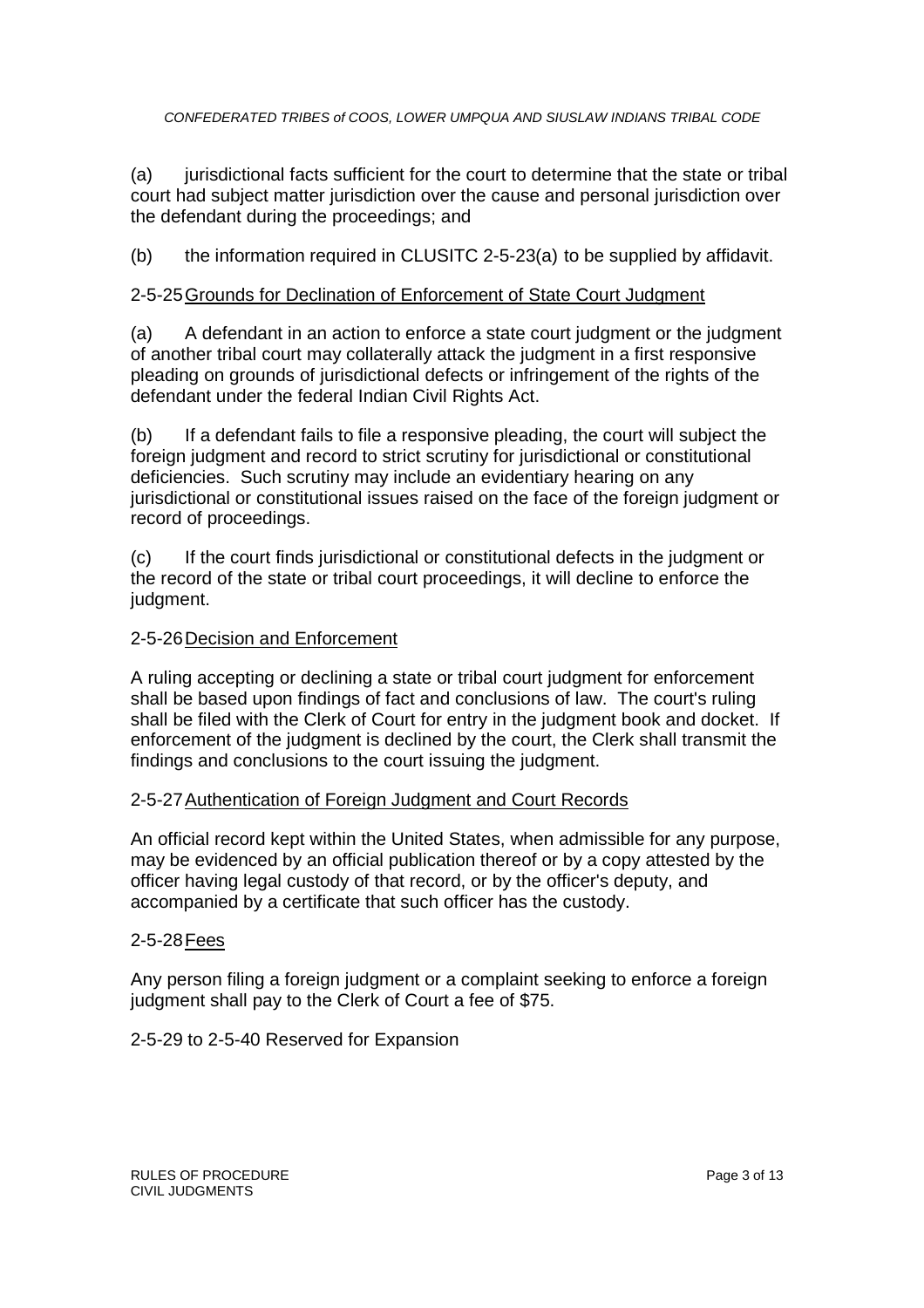(a) jurisdictional facts sufficient for the court to determine that the state or tribal court had subject matter jurisdiction over the cause and personal jurisdiction over the defendant during the proceedings; and

(b) the information required in CLUSITC 2-5-23(a) to be supplied by affidavit.

#### 2-5-25Grounds for Declination of Enforcement of State Court Judgment

(a) A defendant in an action to enforce a state court judgment or the judgment of another tribal court may collaterally attack the judgment in a first responsive pleading on grounds of jurisdictional defects or infringement of the rights of the defendant under the federal Indian Civil Rights Act.

(b) If a defendant fails to file a responsive pleading, the court will subject the foreign judgment and record to strict scrutiny for jurisdictional or constitutional deficiencies. Such scrutiny may include an evidentiary hearing on any jurisdictional or constitutional issues raised on the face of the foreign judgment or record of proceedings.

(c) If the court finds jurisdictional or constitutional defects in the judgment or the record of the state or tribal court proceedings, it will decline to enforce the judgment.

#### 2-5-26Decision and Enforcement

A ruling accepting or declining a state or tribal court judgment for enforcement shall be based upon findings of fact and conclusions of law. The court's ruling shall be filed with the Clerk of Court for entry in the judgment book and docket. If enforcement of the judgment is declined by the court, the Clerk shall transmit the findings and conclusions to the court issuing the judgment.

#### 2-5-27Authentication of Foreign Judgment and Court Records

An official record kept within the United States, when admissible for any purpose, may be evidenced by an official publication thereof or by a copy attested by the officer having legal custody of that record, or by the officer's deputy, and accompanied by a certificate that such officer has the custody.

#### 2-5-28Fees

Any person filing a foreign judgment or a complaint seeking to enforce a foreign judgment shall pay to the Clerk of Court a fee of \$75.

2-5-29 to 2-5-40 Reserved for Expansion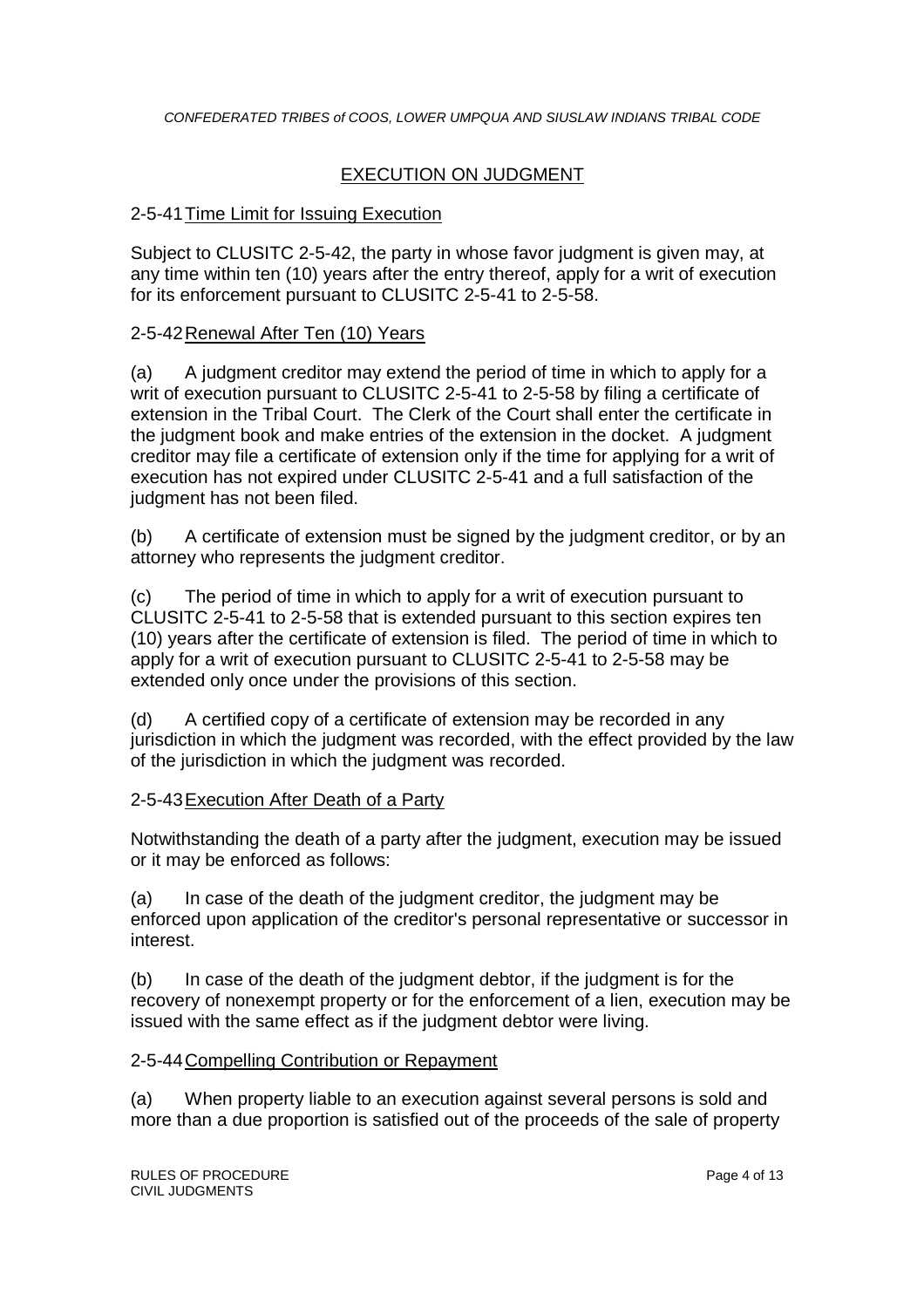## EXECUTION ON JUDGMENT

#### 2-5-41Time Limit for Issuing Execution

Subject to CLUSITC 2-5-42, the party in whose favor judgment is given may, at any time within ten (10) years after the entry thereof, apply for a writ of execution for its enforcement pursuant to CLUSITC 2-5-41 to 2-5-58.

#### 2-5-42Renewal After Ten (10) Years

(a) A judgment creditor may extend the period of time in which to apply for a writ of execution pursuant to CLUSITC 2-5-41 to 2-5-58 by filing a certificate of extension in the Tribal Court. The Clerk of the Court shall enter the certificate in the judgment book and make entries of the extension in the docket. A judgment creditor may file a certificate of extension only if the time for applying for a writ of execution has not expired under CLUSITC 2-5-41 and a full satisfaction of the judgment has not been filed.

(b) A certificate of extension must be signed by the judgment creditor, or by an attorney who represents the judgment creditor.

(c) The period of time in which to apply for a writ of execution pursuant to CLUSITC 2-5-41 to 2-5-58 that is extended pursuant to this section expires ten (10) years after the certificate of extension is filed. The period of time in which to apply for a writ of execution pursuant to CLUSITC 2-5-41 to 2-5-58 may be extended only once under the provisions of this section.

(d) A certified copy of a certificate of extension may be recorded in any jurisdiction in which the judgment was recorded, with the effect provided by the law of the jurisdiction in which the judgment was recorded.

#### 2-5-43Execution After Death of a Party

Notwithstanding the death of a party after the judgment, execution may be issued or it may be enforced as follows:

(a) In case of the death of the judgment creditor, the judgment may be enforced upon application of the creditor's personal representative or successor in interest.

(b) In case of the death of the judgment debtor, if the judgment is for the recovery of nonexempt property or for the enforcement of a lien, execution may be issued with the same effect as if the judgment debtor were living.

#### 2-5-44Compelling Contribution or Repayment

(a) When property liable to an execution against several persons is sold and more than a due proportion is satisfied out of the proceeds of the sale of property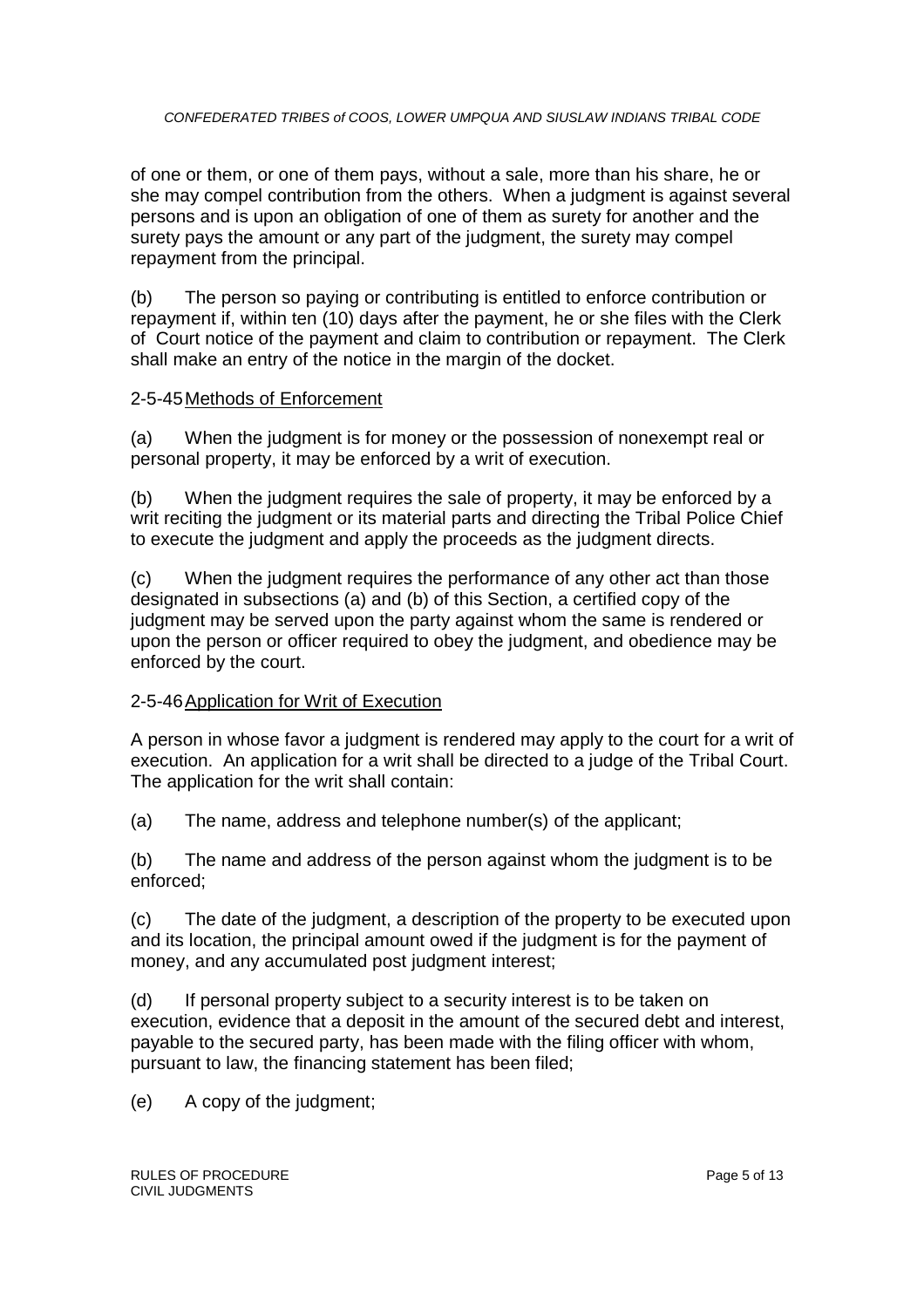of one or them, or one of them pays, without a sale, more than his share, he or she may compel contribution from the others. When a judgment is against several persons and is upon an obligation of one of them as surety for another and the surety pays the amount or any part of the judgment, the surety may compel repayment from the principal.

(b) The person so paying or contributing is entitled to enforce contribution or repayment if, within ten (10) days after the payment, he or she files with the Clerk of Court notice of the payment and claim to contribution or repayment. The Clerk shall make an entry of the notice in the margin of the docket.

#### 2-5-45Methods of Enforcement

(a) When the judgment is for money or the possession of nonexempt real or personal property, it may be enforced by a writ of execution.

(b) When the judgment requires the sale of property, it may be enforced by a writ reciting the judgment or its material parts and directing the Tribal Police Chief to execute the judgment and apply the proceeds as the judgment directs.

(c) When the judgment requires the performance of any other act than those designated in subsections (a) and (b) of this Section, a certified copy of the judgment may be served upon the party against whom the same is rendered or upon the person or officer required to obey the judgment, and obedience may be enforced by the court.

#### 2-5-46Application for Writ of Execution

A person in whose favor a judgment is rendered may apply to the court for a writ of execution. An application for a writ shall be directed to a judge of the Tribal Court. The application for the writ shall contain:

(a) The name, address and telephone number(s) of the applicant;

(b) The name and address of the person against whom the judgment is to be enforced;

(c) The date of the judgment, a description of the property to be executed upon and its location, the principal amount owed if the judgment is for the payment of money, and any accumulated post judgment interest;

(d) If personal property subject to a security interest is to be taken on execution, evidence that a deposit in the amount of the secured debt and interest, payable to the secured party, has been made with the filing officer with whom, pursuant to law, the financing statement has been filed;

(e) A copy of the judgment;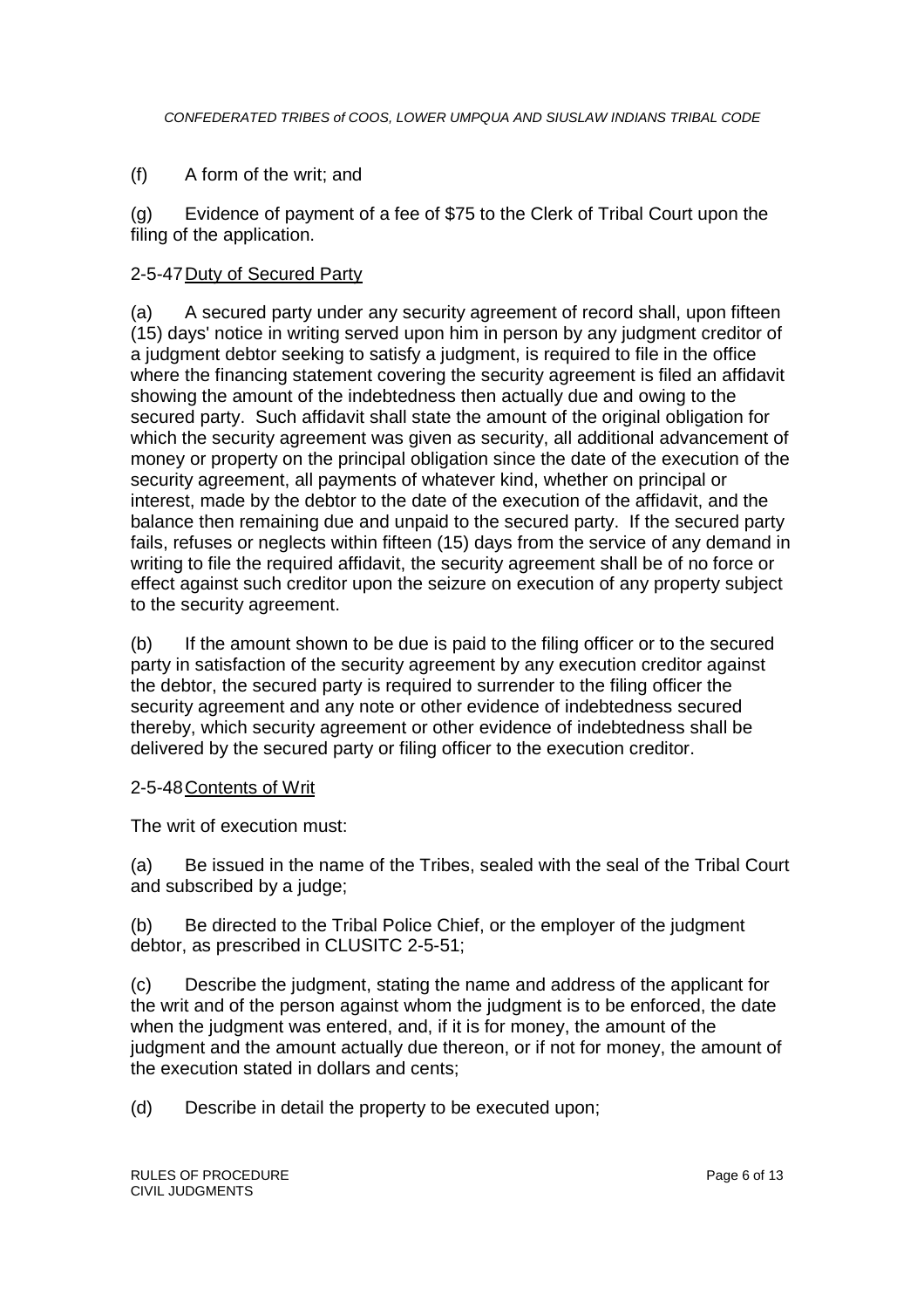#### (f) A form of the writ; and

(g) Evidence of payment of a fee of \$75 to the Clerk of Tribal Court upon the filing of the application.

#### 2-5-47Duty of Secured Party

(a) A secured party under any security agreement of record shall, upon fifteen (15) days' notice in writing served upon him in person by any judgment creditor of a judgment debtor seeking to satisfy a judgment, is required to file in the office where the financing statement covering the security agreement is filed an affidavit showing the amount of the indebtedness then actually due and owing to the secured party. Such affidavit shall state the amount of the original obligation for which the security agreement was given as security, all additional advancement of money or property on the principal obligation since the date of the execution of the security agreement, all payments of whatever kind, whether on principal or interest, made by the debtor to the date of the execution of the affidavit, and the balance then remaining due and unpaid to the secured party. If the secured party fails, refuses or neglects within fifteen (15) days from the service of any demand in writing to file the required affidavit, the security agreement shall be of no force or effect against such creditor upon the seizure on execution of any property subject to the security agreement.

(b) If the amount shown to be due is paid to the filing officer or to the secured party in satisfaction of the security agreement by any execution creditor against the debtor, the secured party is required to surrender to the filing officer the security agreement and any note or other evidence of indebtedness secured thereby, which security agreement or other evidence of indebtedness shall be delivered by the secured party or filing officer to the execution creditor.

#### 2-5-48Contents of Writ

The writ of execution must:

(a) Be issued in the name of the Tribes, sealed with the seal of the Tribal Court and subscribed by a judge;

(b) Be directed to the Tribal Police Chief, or the employer of the judgment debtor, as prescribed in CLUSITC 2-5-51;

(c) Describe the judgment, stating the name and address of the applicant for the writ and of the person against whom the judgment is to be enforced, the date when the judgment was entered, and, if it is for money, the amount of the judgment and the amount actually due thereon, or if not for money, the amount of the execution stated in dollars and cents;

(d) Describe in detail the property to be executed upon;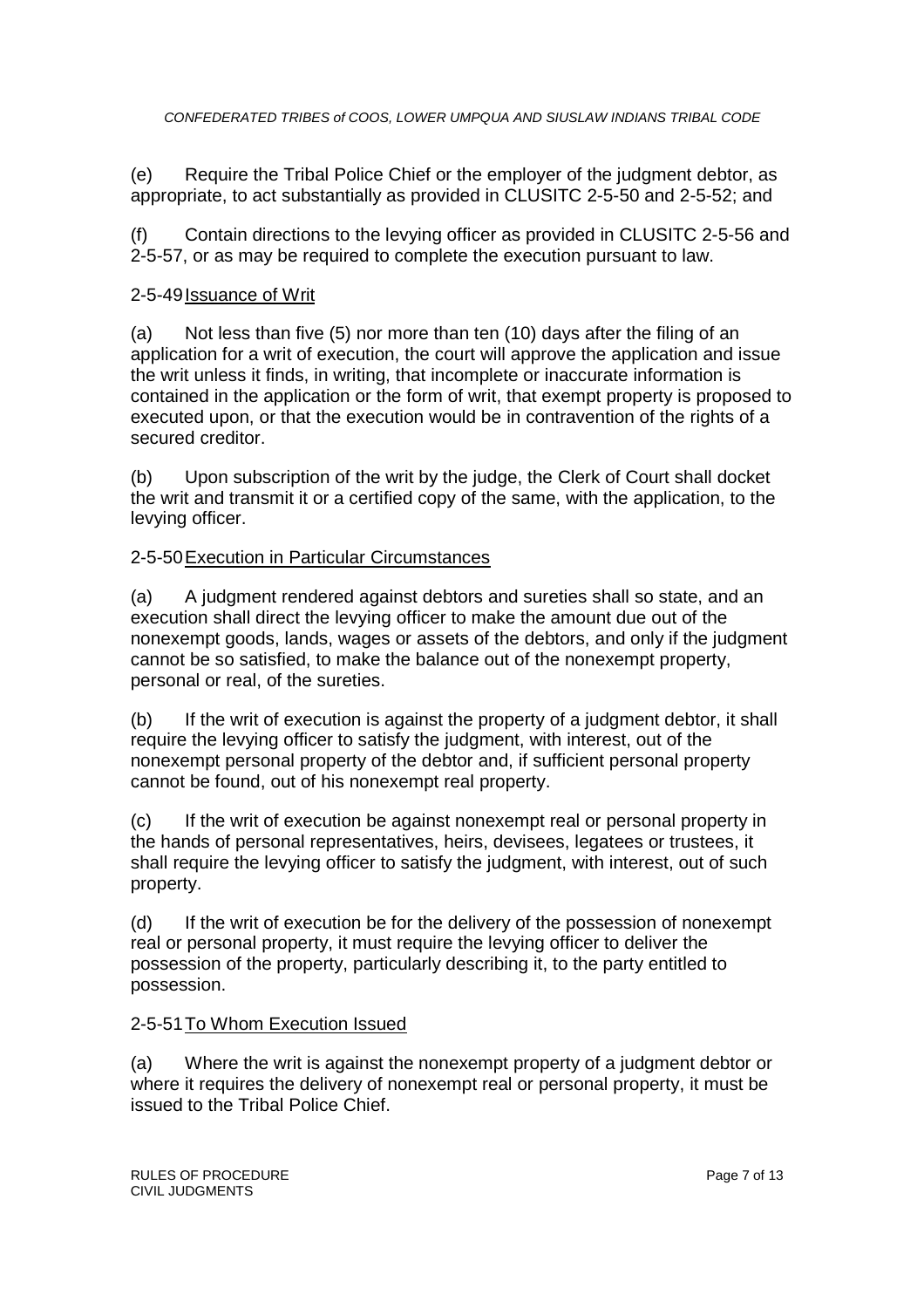(e) Require the Tribal Police Chief or the employer of the judgment debtor, as appropriate, to act substantially as provided in CLUSITC 2-5-50 and 2-5-52; and

(f) Contain directions to the levying officer as provided in CLUSITC 2-5-56 and 2-5-57, or as may be required to complete the execution pursuant to law.

## 2-5-49 Issuance of Writ

(a) Not less than five (5) nor more than ten (10) days after the filing of an application for a writ of execution, the court will approve the application and issue the writ unless it finds, in writing, that incomplete or inaccurate information is contained in the application or the form of writ, that exempt property is proposed to executed upon, or that the execution would be in contravention of the rights of a secured creditor.

(b) Upon subscription of the writ by the judge, the Clerk of Court shall docket the writ and transmit it or a certified copy of the same, with the application, to the levying officer.

## 2-5-50Execution in Particular Circumstances

(a) A judgment rendered against debtors and sureties shall so state, and an execution shall direct the levying officer to make the amount due out of the nonexempt goods, lands, wages or assets of the debtors, and only if the judgment cannot be so satisfied, to make the balance out of the nonexempt property, personal or real, of the sureties.

(b) If the writ of execution is against the property of a judgment debtor, it shall require the levying officer to satisfy the judgment, with interest, out of the nonexempt personal property of the debtor and, if sufficient personal property cannot be found, out of his nonexempt real property.

(c) If the writ of execution be against nonexempt real or personal property in the hands of personal representatives, heirs, devisees, legatees or trustees, it shall require the levying officer to satisfy the judgment, with interest, out of such property.

(d) If the writ of execution be for the delivery of the possession of nonexempt real or personal property, it must require the levying officer to deliver the possession of the property, particularly describing it, to the party entitled to possession.

#### 2-5-51 To Whom Execution Issued

(a) Where the writ is against the nonexempt property of a judgment debtor or where it requires the delivery of nonexempt real or personal property, it must be issued to the Tribal Police Chief.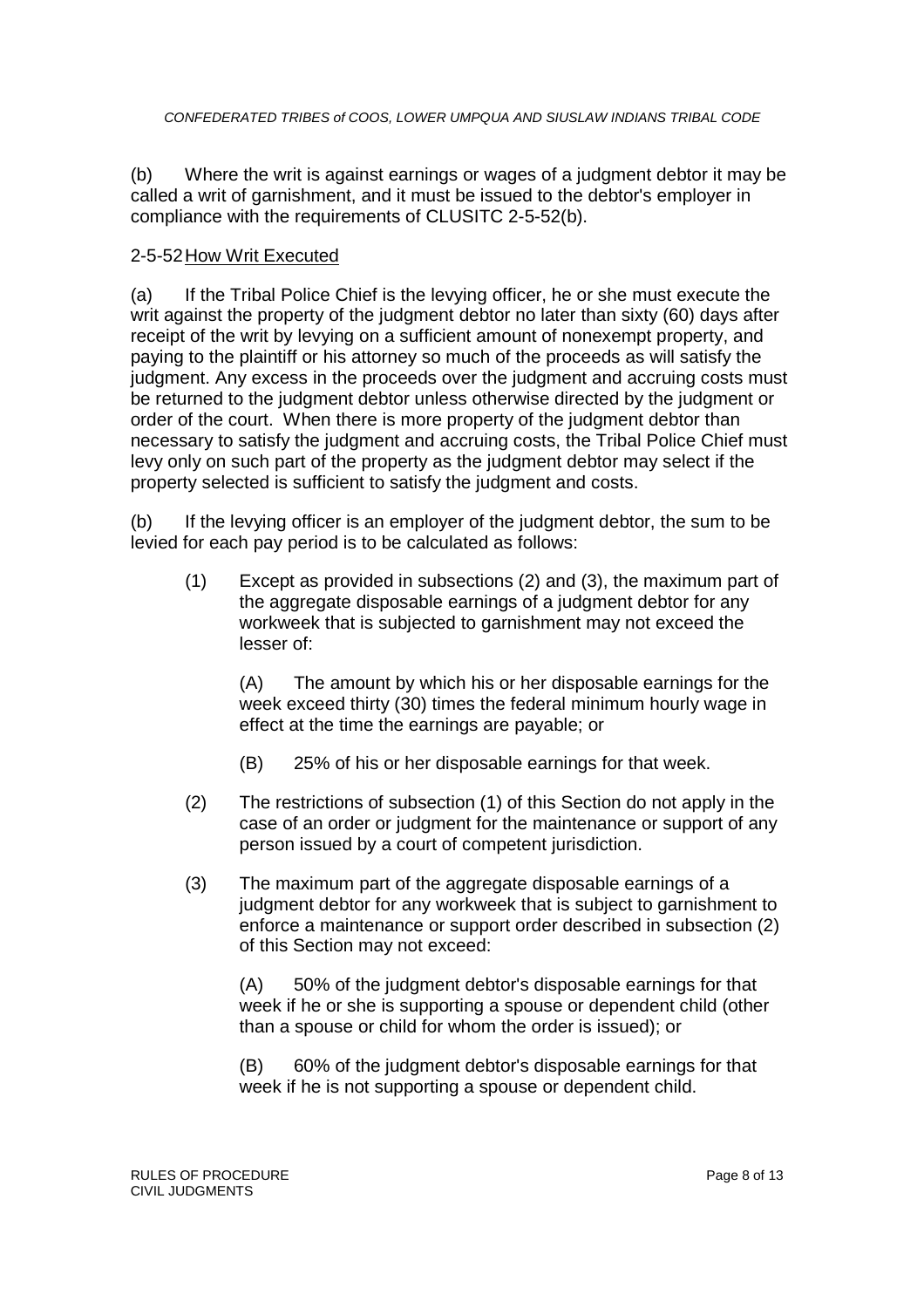(b) Where the writ is against earnings or wages of a judgment debtor it may be called a writ of garnishment, and it must be issued to the debtor's employer in compliance with the requirements of CLUSITC 2-5-52(b).

#### 2-5-52How Writ Executed

(a) If the Tribal Police Chief is the levying officer, he or she must execute the writ against the property of the judgment debtor no later than sixty (60) days after receipt of the writ by levying on a sufficient amount of nonexempt property, and paying to the plaintiff or his attorney so much of the proceeds as will satisfy the judgment. Any excess in the proceeds over the judgment and accruing costs must be returned to the judgment debtor unless otherwise directed by the judgment or order of the court. When there is more property of the judgment debtor than necessary to satisfy the judgment and accruing costs, the Tribal Police Chief must levy only on such part of the property as the judgment debtor may select if the property selected is sufficient to satisfy the judgment and costs.

(b) If the levying officer is an employer of the judgment debtor, the sum to be levied for each pay period is to be calculated as follows:

(1) Except as provided in subsections (2) and (3), the maximum part of the aggregate disposable earnings of a judgment debtor for any workweek that is subjected to garnishment may not exceed the lesser of:

(A) The amount by which his or her disposable earnings for the week exceed thirty (30) times the federal minimum hourly wage in effect at the time the earnings are payable; or

- (B) 25% of his or her disposable earnings for that week.
- (2) The restrictions of subsection (1) of this Section do not apply in the case of an order or judgment for the maintenance or support of any person issued by a court of competent jurisdiction.
- (3) The maximum part of the aggregate disposable earnings of a judgment debtor for any workweek that is subject to garnishment to enforce a maintenance or support order described in subsection (2) of this Section may not exceed:

(A) 50% of the judgment debtor's disposable earnings for that week if he or she is supporting a spouse or dependent child (other than a spouse or child for whom the order is issued); or

(B) 60% of the judgment debtor's disposable earnings for that week if he is not supporting a spouse or dependent child.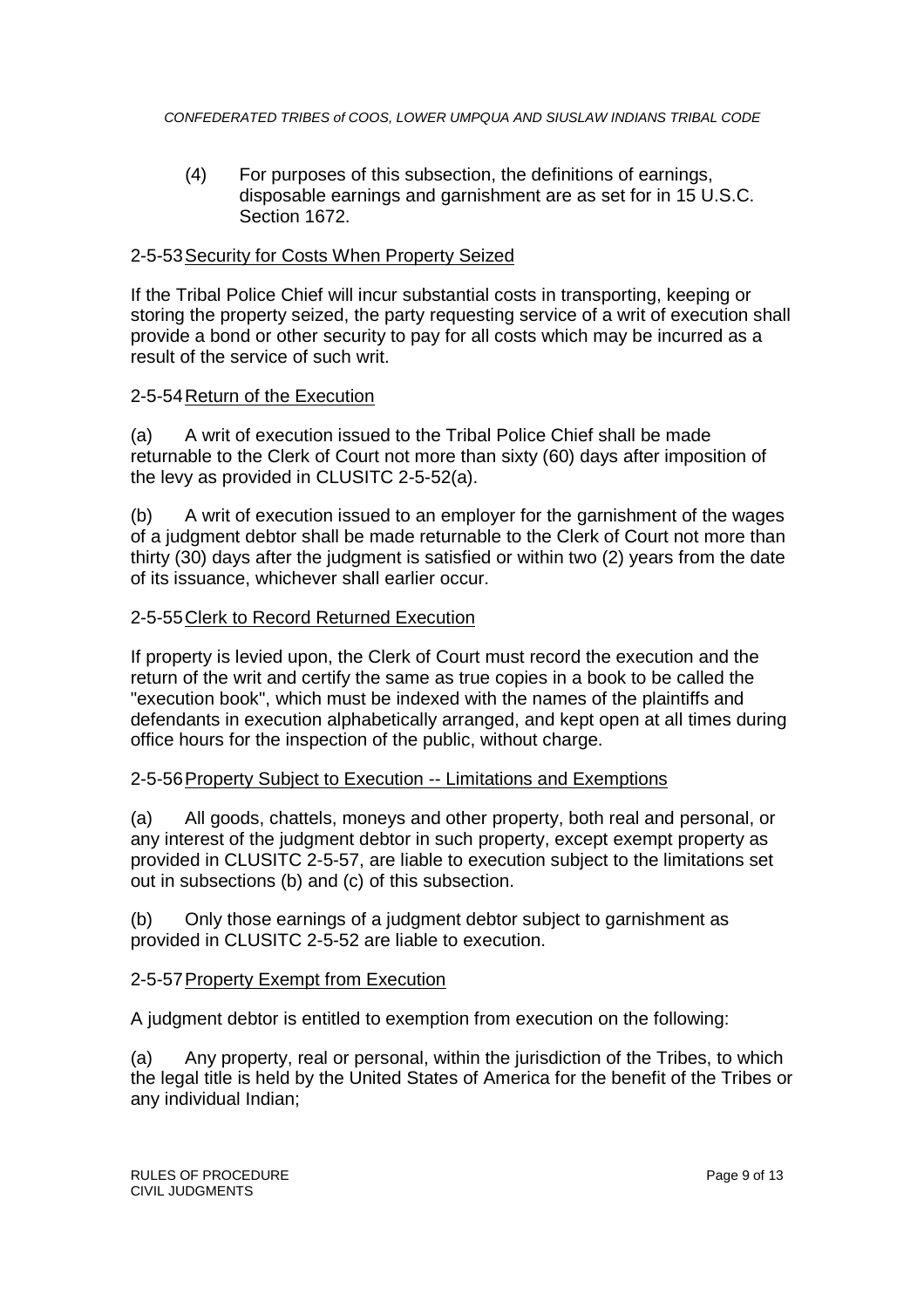(4) For purposes of this subsection, the definitions of earnings, disposable earnings and garnishment are as set for in 15 U.S.C. Section 1672.

#### 2-5-53Security for Costs When Property Seized

If the Tribal Police Chief will incur substantial costs in transporting, keeping or storing the property seized, the party requesting service of a writ of execution shall provide a bond or other security to pay for all costs which may be incurred as a result of the service of such writ.

#### 2-5-54Return of the Execution

(a) A writ of execution issued to the Tribal Police Chief shall be made returnable to the Clerk of Court not more than sixty (60) days after imposition of the levy as provided in CLUSITC 2-5-52(a).

(b) A writ of execution issued to an employer for the garnishment of the wages of a judgment debtor shall be made returnable to the Clerk of Court not more than thirty (30) days after the judgment is satisfied or within two (2) years from the date of its issuance, whichever shall earlier occur.

#### 2-5-55Clerk to Record Returned Execution

If property is levied upon, the Clerk of Court must record the execution and the return of the writ and certify the same as true copies in a book to be called the "execution book", which must be indexed with the names of the plaintiffs and defendants in execution alphabetically arranged, and kept open at all times during office hours for the inspection of the public, without charge.

#### 2-5-56Property Subject to Execution -- Limitations and Exemptions

(a) All goods, chattels, moneys and other property, both real and personal, or any interest of the judgment debtor in such property, except exempt property as provided in CLUSITC 2-5-57, are liable to execution subject to the limitations set out in subsections (b) and (c) of this subsection.

(b) Only those earnings of a judgment debtor subject to garnishment as provided in CLUSITC 2-5-52 are liable to execution.

#### 2-5-57Property Exempt from Execution

A judgment debtor is entitled to exemption from execution on the following:

(a) Any property, real or personal, within the jurisdiction of the Tribes, to which the legal title is held by the United States of America for the benefit of the Tribes or any individual Indian;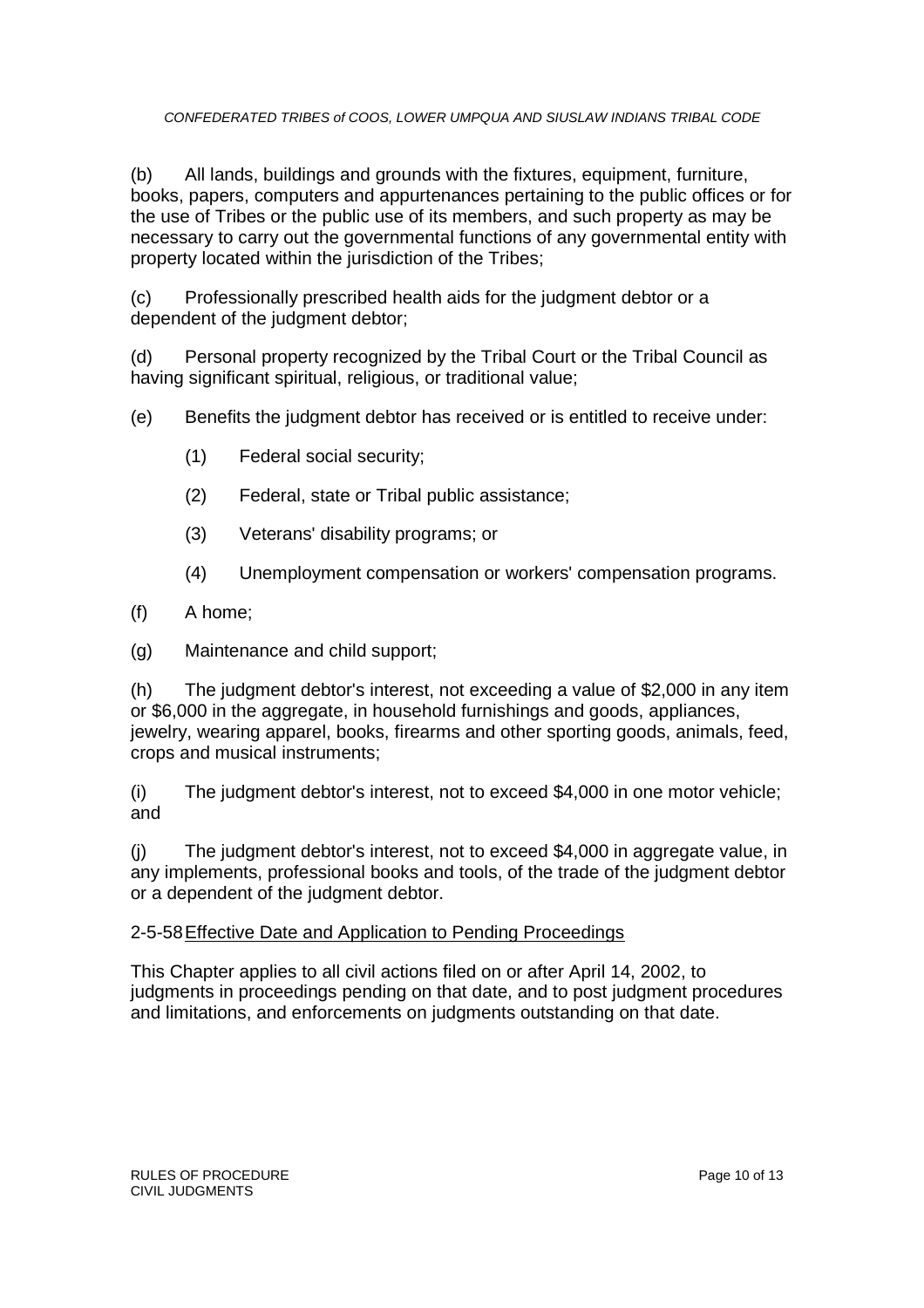(b) All lands, buildings and grounds with the fixtures, equipment, furniture, books, papers, computers and appurtenances pertaining to the public offices or for the use of Tribes or the public use of its members, and such property as may be necessary to carry out the governmental functions of any governmental entity with property located within the jurisdiction of the Tribes;

(c) Professionally prescribed health aids for the judgment debtor or a dependent of the judgment debtor;

(d) Personal property recognized by the Tribal Court or the Tribal Council as having significant spiritual, religious, or traditional value;

- (e) Benefits the judgment debtor has received or is entitled to receive under:
	- (1) Federal social security;
	- (2) Federal, state or Tribal public assistance;
	- (3) Veterans' disability programs; or
	- (4) Unemployment compensation or workers' compensation programs.
- (f) A home;
- (g) Maintenance and child support;

(h) The judgment debtor's interest, not exceeding a value of \$2,000 in any item or \$6,000 in the aggregate, in household furnishings and goods, appliances, jewelry, wearing apparel, books, firearms and other sporting goods, animals, feed, crops and musical instruments;

(i) The judgment debtor's interest, not to exceed \$4,000 in one motor vehicle; and

(j) The judgment debtor's interest, not to exceed \$4,000 in aggregate value, in any implements, professional books and tools, of the trade of the judgment debtor or a dependent of the judgment debtor.

#### 2-5-58Effective Date and Application to Pending Proceedings

This Chapter applies to all civil actions filed on or after April 14, 2002, to judgments in proceedings pending on that date, and to post judgment procedures and limitations, and enforcements on judgments outstanding on that date.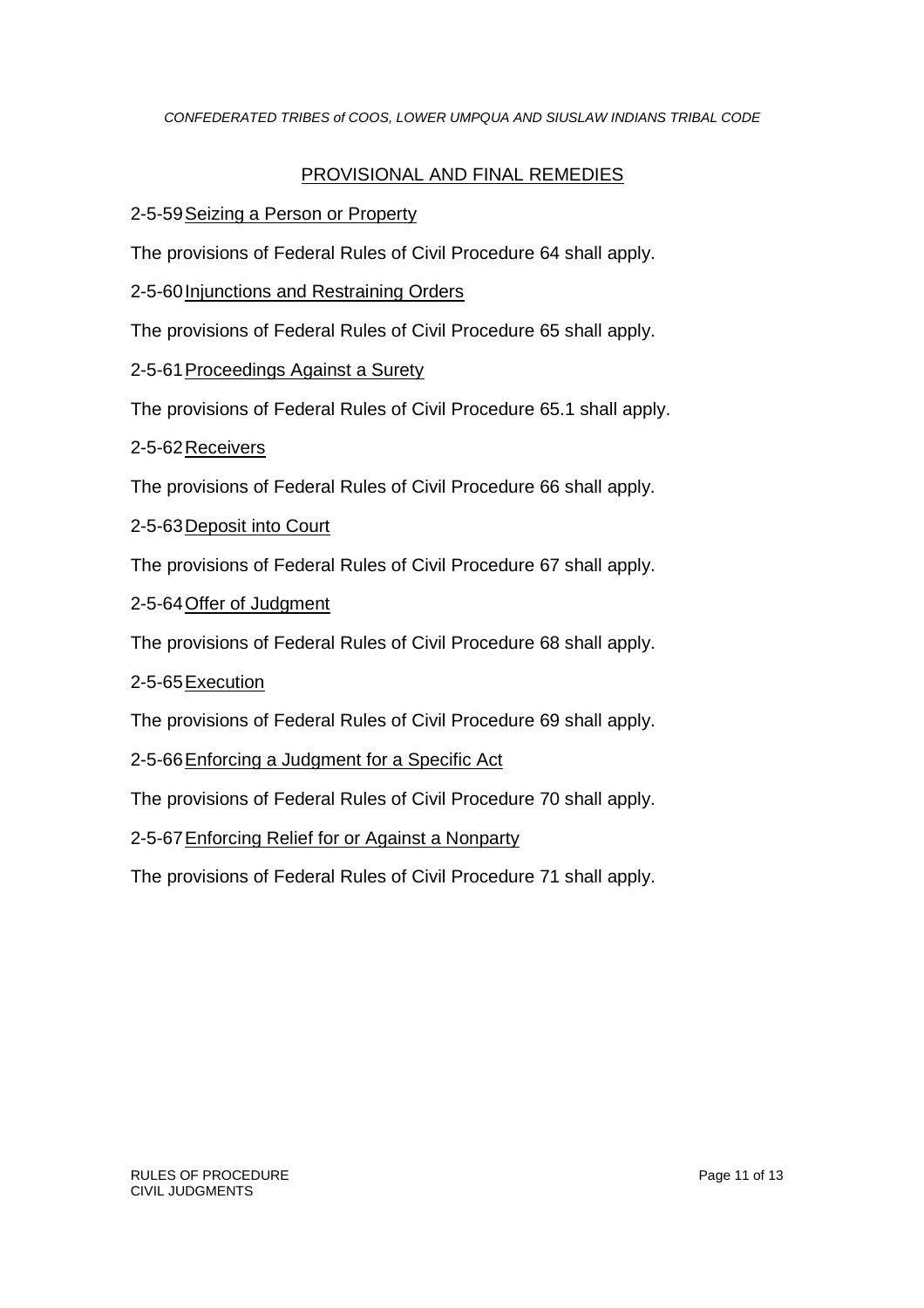## PROVISIONAL AND FINAL REMEDIES

#### 2-5-59Seizing a Person or Property

The provisions of Federal Rules of Civil Procedure 64 shall apply.

2-5-60 Injunctions and Restraining Orders

The provisions of Federal Rules of Civil Procedure 65 shall apply.

2-5-61 Proceedings Against a Surety

The provisions of Federal Rules of Civil Procedure 65.1 shall apply.

2-5-62Receivers

The provisions of Federal Rules of Civil Procedure 66 shall apply.

2-5-63Deposit into Court

The provisions of Federal Rules of Civil Procedure 67 shall apply.

2-5-64Offer of Judgment

The provisions of Federal Rules of Civil Procedure 68 shall apply.

2-5-65Execution

The provisions of Federal Rules of Civil Procedure 69 shall apply.

2-5-66Enforcing a Judgment for a Specific Act

The provisions of Federal Rules of Civil Procedure 70 shall apply.

2-5-67Enforcing Relief for or Against a Nonparty

The provisions of Federal Rules of Civil Procedure 71 shall apply.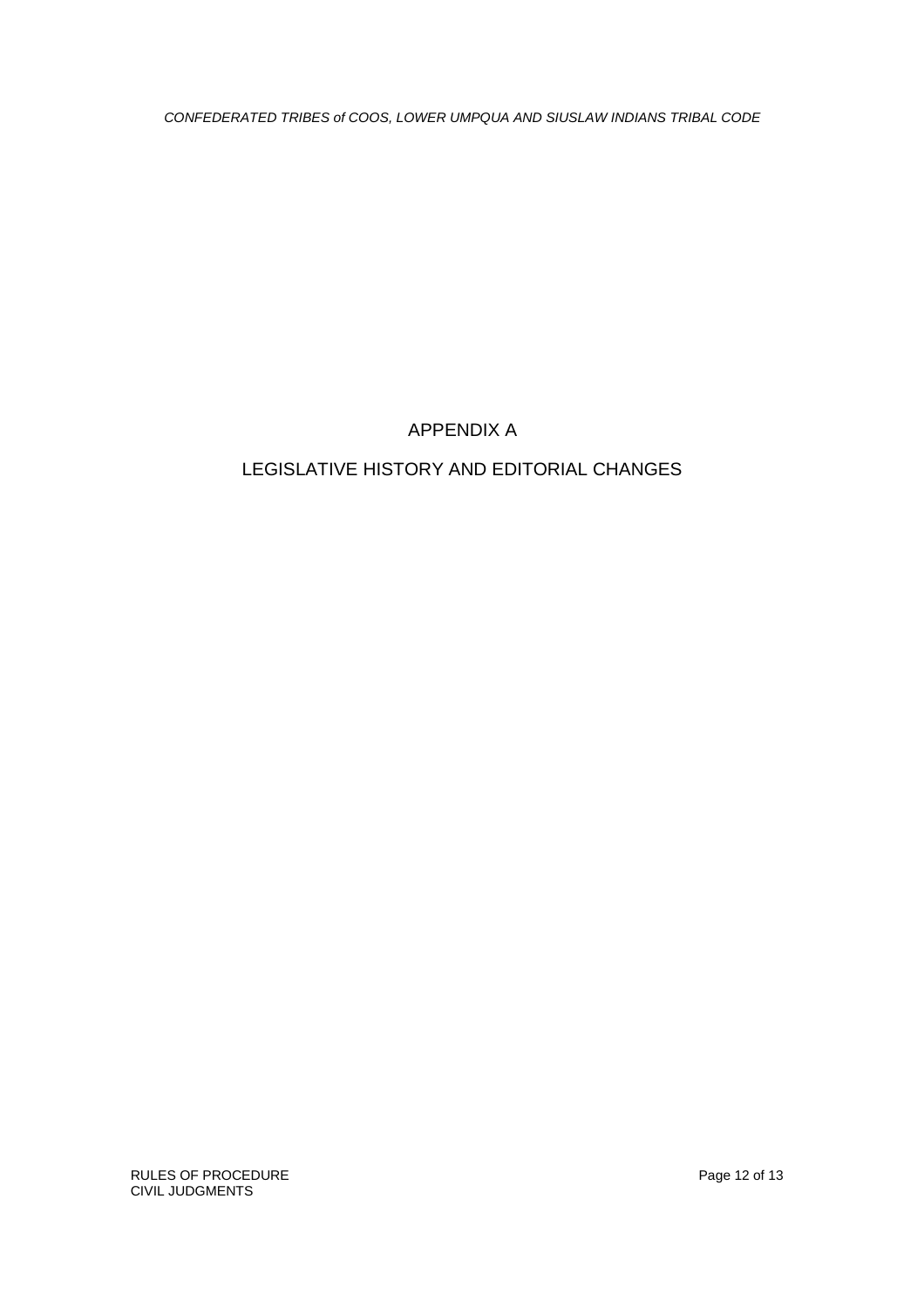## APPENDIX A

# LEGISLATIVE HISTORY AND EDITORIAL CHANGES

RULES OF PROCEDURE **Page 12 of 13** CIVIL JUDGMENTS